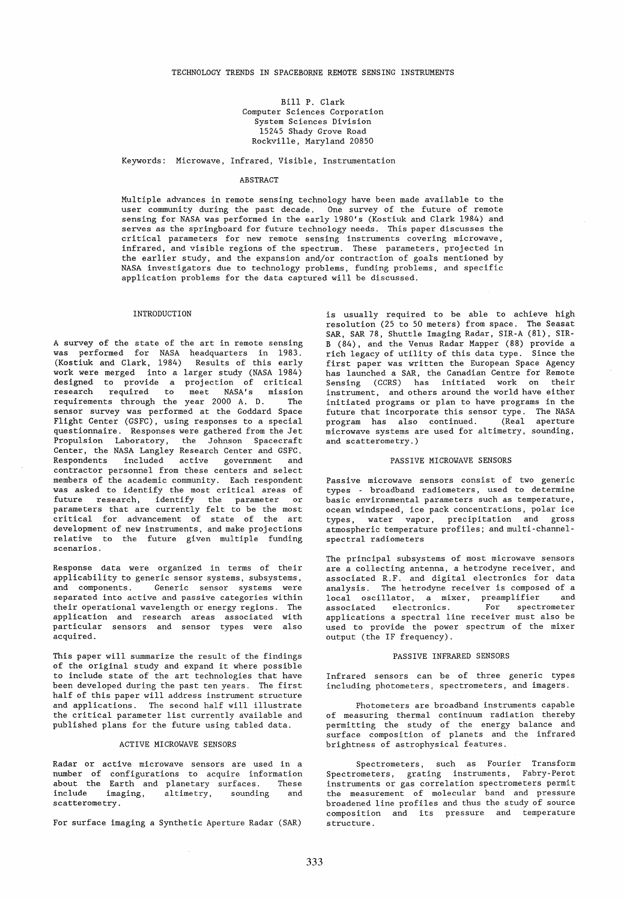Bill P. C1ark Computer Sciences Corporation System Sciences Division 15245 Shady Grove Road Rockvi11e, Mary1and 20850

# Keywords: Microwave, Infrared, Visible; Instrumentation

#### ABSTRACT

Multiple advances in remote sensing techno1ogy have been made availab1e to the user community during the past decade. One survey of the future of remote sensing for NASA was performed in the ear1y 1980's (Kostiuk and Clark 1984) and serves as the springboard for future technology needs. This paper discusses the critical parameters for new remote sensing instruments covering microwave, infrared, and visible regions of the spectrum. These parameters, projected in the earlier study, and the expansion and/or contraction of goals mentioned by NASA investigators due to technology problems, funding problems, and specific application problems for the data captured will be discussed.

#### INTRODUCTION

A survey of the state of the art in remote sensing was performed for NASA headquarters in 1983. (Kostiuk and C1ark, 1984) Results of this early work were merged into a 1arger study (NASA 1984) designed to provide a projection of critical research required to meet NASA's mission requirements through the year 2000 A. D. The sensor survey was performed at the Goddard Space Flight Center (GSFC), using responses to a special questionnaire. Responses were gathered from the Jet Propulsion Laboratory, the Johnson Spacecraft Center, the NASA Langley Research Center and GSFC. Respondents inc1uded active government and contractor personnel from these centers and se1ect members of the academic community. Each respondent was asked to identify the most critical areas of future research, identify the parameter or parameters that are currently felt to be the most critical for advancement of state of the art development of new instruments, and make projections relative to the future given multiple funding scenarios.

Response data were organized in terms of their applicability to generic sensor systems, subsystems, and components. Generic sensor systems were separated into active and passive categories within their operational wavelength or energy regions. The application and research areas associated with particular sensors and sensor types were also acquired.

This paper will summarize the result of the findings of the original study and expand it where possible to inc1ude state of the art technologies that have been developed during the past ten years. The first half of this paper will address instrument structure and applications. The second half will i11ustrate the critical parameter list currently available and published plans for the future using tabled data.

### ACTIVE MICROWAVE SENSORS

Radar or active microwave sensors are used in a number of configurations to acquire information about the Earth and planetary surfaces. These<br>include imaging, altimetry, sounding and imaging, altimetry, sounding and scatterometry.

For surface imaging a Synthetic Aperture Radar (SAR)

is usually required to be able to achieve high resolution (25 to 50 meters) from space. The Seasat SAR, SAR 78, Shuttle Imaging Radar, SIR-A (81), SIR-B (84), and the Venus Radar Mapper (88) provide a rich legacy of utility of this data type. Since the first paper was written the European Space Agency has 1aunched a SAR, the Canadian Centre for Remote Sensing (CCRS) has initiated work on their instrument, and others around the world have either initiated programs or plan to have programs in the future that incorporate this sensor type. The NASA pro gram has also continued. (Real aperture microwave systems are used for a1timetry, sounding, and scatterometry.)

## PASSIVE MICROWAVE SENSORS

Passive microwave sensors consist of two generic types - broadband radiometers, used to determine basic environmental parameters such as temperature, ocean windspeed, ice pack concentrations, polar ice types, water vapor, precipitation and gross atmospheric temperature profiles; and multi-channelspectral radiometers

The principal subsystems of most microwave sensors are a collecting antenna, a hetrodyne receiver, and associated R.F. and digital electronics for data analysis. The hetrodyne receiver is composed of a loca1 oscillator, a mixer, preamplifier and associated electronics. For spectrometer applications a spectral line receiver must also be used to provide the power spectrum of the mixer output (the IF frequency).

## PASSIVE INFRARED SENSORS

Infrared sensors can be of three generic types including photometers, spectrometers, and imagers.

Photometers are broadband instruments capable of measuring thermal continuum radiation thereby permitting the study of the energy balance and surface composition of planets and the infrared brightness of astrophysical features.

Spectrometers, such as Fourier Transform Spectrometers, grating instruments, Fabry-Perot instruments or gas correlation spectrometers permit the measurement of molecular band and pressure broadened line profiles and thus the study of source composition and its pressure and temperature structure.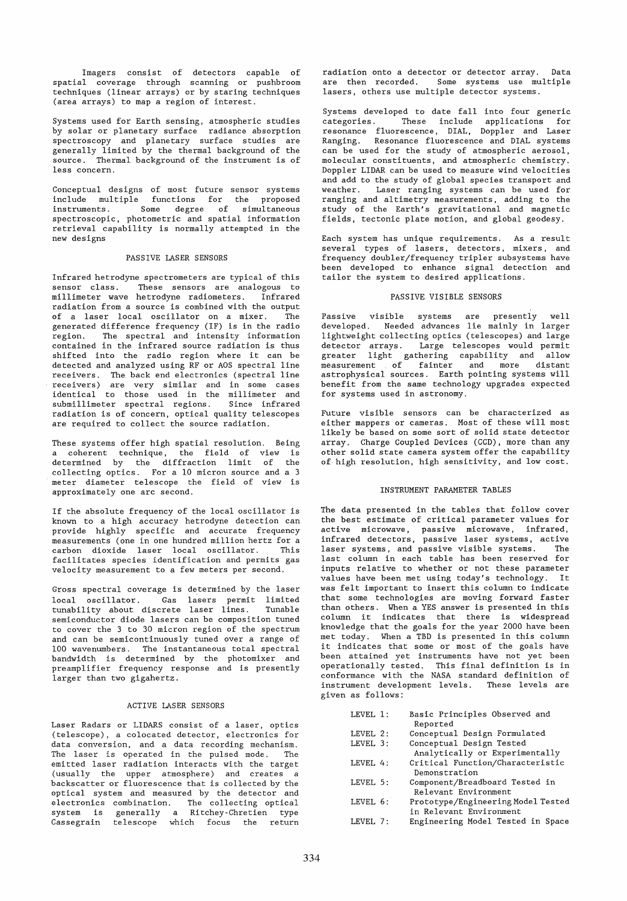Imagers consist of detectors capable of spatial coverage through scanning or pushbroom techniques (linear arrays) or by staring techniques (area arrays) to map a region of interest.

Systems used for Earth sensing, atmospheric studies by solar or planetary surface radiance absorption spectroscopy and planetary surface studies are generally limited by the thermal background of the source. Thermal background of the instrument is of less concern.

Conceptual designs of most future sensor systems include multiple functions for the proposed instruments. Some degree of simultaneous spectroscopic, photometrie and spatial information retrieval capability is normally attempted in the new designs

# PASSIVE LASER SENSORS

Infrared hetrodyne spectrometers are typical of this sensor class. These sensors are analogous to millimeter wave hetrodyne radiometers. Infrared radiation from a source is combined with the output of a laser local oscillator on a mixer. The generated difference frequency (IF) is in the radio region. The spectral and intensity information contained in the infrared source radiation is thus shifted into the radio region where it can be detected and analyzed using RF or AOS spectral line receivers. The back end electronics (spectral line receivers) are very similar and in some cases identical to those used in the millimeter and submillimeter spectral regions. Since infrared radiation is of concern, optical quality telescopes are required to collect the source radiation.

These systems offer high spatial resolution. Being a coherent technique, the field of view is determined by the diffraction limit of the collecting optics. For a 10 micron source and a 3 meter diameter telescope the field of view is approximately one are second.

If the absolute frequency of the local oscillator is known to a high accuracy hetrodyne detection can provide highly specific and accurate frequency measurements (one in one hundred million hertz for a carbon dioxide laser local oscillator. This facilitates species identification and permits gas velocity measurement to a few meters per second.

Gross spectral coverage is determined by the laser local oscillator. Gas lasers permit limited tunability about discrete laser lines. Tunable semiconductor diode lasers can be composition tuned to cover the 3 to 30 micron region of the spectrum and can be semicontinuously tuned over a range of 100 wavenumbers. The instantaneous total spectral bandwidth is determined by the photomixer and preamplifier frequency response and is presently larger than two gigahertz.

### ACTIVE LASER SENSORS

Laser Radars or LIDARS consist of a laser, optics (telescope), a colocated detector, electronics for data conversion, and a data recording mechanism. The laser is operated in the pulsed mode. The emitted laser radiation interacts with the target (usually the upper atmosphere) and creates a backscatter or fluorescence that is collected by the optical system and measured by the detector and electronics combination. The collecting optical system is generally a Ritchey-Chretien type Cassegrain telescope which focus the return radiation onto a detector or detector array. Data are then recorded. Some systems use multiple lasers, others use multiple detector systems.

Systems developed to date fall into four generic categories. These include applications for resonance fluorescence, DIAL, Doppler and Laser Ranging. Resonance fluorescence and DIAL systems can be used for the study of atmospheric aerosol, molecular constituents, and atmospheric chemistry. Doppler LIDAR can be used to measure wind velocities and add to the study of global species transport and weather. Laser ranging systems can be used for ranging and altimetry measurements, adding to the study of the Earth's gravitational and magnetic fields, tectonic plate motion, and globaL geodesy.

Each system has unique requirements. As a result several types of lasers, detectors, mixers, and frequency doubler/frequency tripler subsystems have been developed to enhance signal detection and tailor the system to desired applications.

## PASSIVE VISIBLE SENSORS

Passive visible systems are presently well developed. Needed advances lie mainly in larger lightweight collecting optics (telescopes) and large detector arrays. Large telescopes would permit greater light gathering capability and allow measurement of fainter and more distant astrophysical sources. Earth pointing systems will benefit from the same technology upgrades expected for systems used in astronomy.

Future visible sensors can be characterized as either mappers or cameras. Most of these will most likely be based on some sort of solid state detector array. Charge Coupled Devices (CCD) , more than any other solid state camera system offer the capability of· high resolution, high sensitivity, and low cost.

### INSTRUMENT PARAMETER TABLES

The data presented in the tables that follow cover the best estimate of critical parameter values for active microwave, passive microwave, infrared, infrared detectors, passive laser systems, active laser systems, and passive visible systems. The last column in each table has been reserved for inputs relative to whether or not these parameter values have been met using today's technology. It was felt important to insert this column to indicate that some technologies are moving forward faster than others. When a YES answer is presented in this column it indicates that there is widespread knowledge that the goals for the year 2000 have been met today. When a TBD is presented in this column it indicates that some or most of the goals have been attained yet instruments have not yet been operationally tested. This final definition is in conformance with the NASA standard definition of instrument development levels. These levels are given as follows:

| LEVEL 1: | Basic Principles Observed and<br>Reported |
|----------|-------------------------------------------|
|          |                                           |
| LEVEL 2: | Conceptual Design Formulated              |
| LEVEL 3: | Conceptual Design Tested                  |
|          | Analytically or Experimentally            |
| LEVEL 4: | Critical Function/Characteristic          |
|          | Demonstration                             |
| LEVEL 5: | Component/Breadboard Tested in            |
|          | Relevant Environment                      |
| LEVEL 6: | Prototype/Engineering Model Tested        |
|          | in Relevant Environment                   |
| LEVEL 7: | Engineering Model Tested in Space         |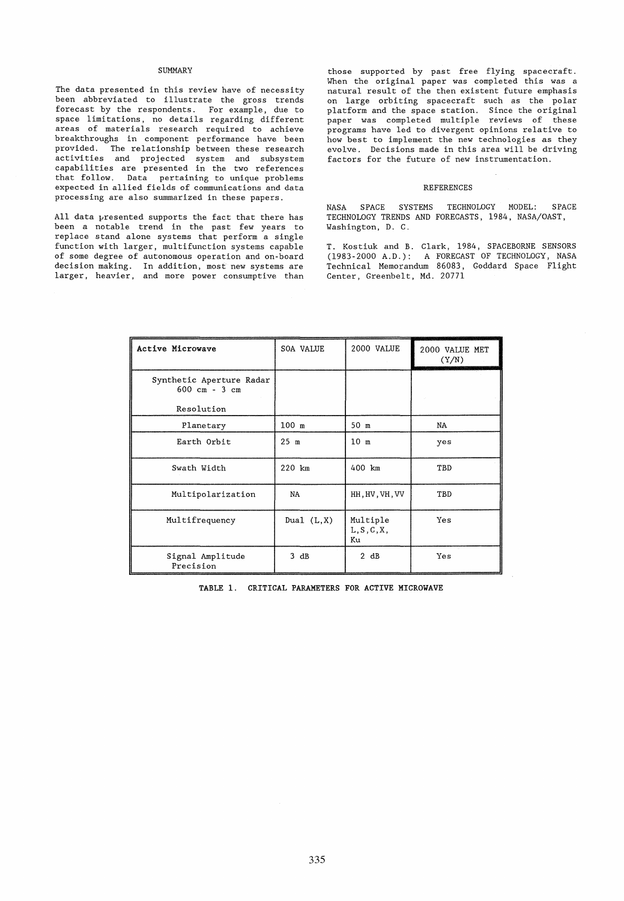### SUMMARY

The data presented in this review have of necessity been abbreviated to illustrate the gross trends forecast by the respondents. For example, due to space limitations, no details regarding different areas of materials research required to achieve breakthroughs in component performance have been provided. The relationship between these research .<br>activities and projected system and subsystem capabilities are presented in the two references that follow. Data pertaining to unique problems expected in allied fields of communications and data processing are also summarized in these papers.

All data presented supports the fact that there has been a notable trend in the past few years to replace stand alone systems that perform a single function with larger, multifunction systems capable of some degree of autonomous operation and on-board decision making. In addition, most new systems are larger, heavier, and more power consumptive than

those supported by past free flying spacecraft. When the original paper was completed this was a natural result of the then existent future emphasis on large orbiting spacecraft such as the polar platform and the space station. Since the original paper was completed multiple reviews of these programs have led to divergent opinions relative to how best to implement the new technologies as they evolve. Decisions made in this area will be driving factors for the future of new instrumentation.

#### REFERENCES

NASA SPACE SYSTEMS TECHNOLOGY MODEL: SPACE TECHNOLOGY TRENDS AND FORECASTS, 1984, NASA/OAST, Washington, D. C.

T. Kostiuk and B. Clark, 1984, SPACEBORNE SENSORS (1983-2000 A.D.): A FORECAST OF TECHNOLOGY, NASA Technical Memorandum 86083, Goddard Space Flight Center, Greenbelt, Md. 20771

| Active Microwave                                            | SOA VALUE       | 2000 VALUE                    | 2000 VALUE MET<br>(Y/N) |
|-------------------------------------------------------------|-----------------|-------------------------------|-------------------------|
| Synthetic Aperture Radar<br>$600 \text{ cm} - 3 \text{ cm}$ |                 |                               |                         |
| Resolution                                                  |                 |                               |                         |
| Planetary                                                   | $100$ m         | 50 m                          | NA                      |
| Earth Orbit                                                 | 25 <sub>m</sub> | 10 <sub>m</sub>               | yes                     |
| Swath Width                                                 | 220 km          | 400 km                        | TBD                     |
| Multipolarization                                           | NA              | HH, HV, VH, VV                | TBD                     |
| Multifrequency                                              | Dual $(L,X)$    | Multiple<br>L, S, C, X,<br>Ku | Yes                     |
| Signal Amplitude<br>Precision                               | 3 dB            | 2 dB                          | Yes                     |

TABLE 1. CRITICAL PARAMETERS FOR ACTIVE MICROWAVE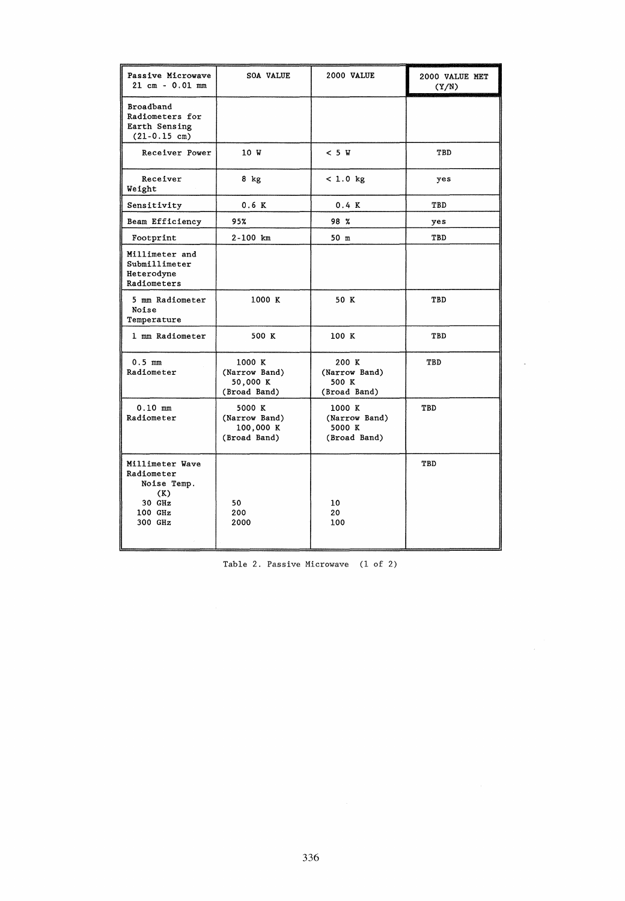| Passive Microwave<br>$21 \text{ cm} - 0.01 \text{ mm}$                                | <b>SOA VALUE</b>                                     | 2000 VALUE                                        | 2000 VALUE MET<br>(Y/N) |
|---------------------------------------------------------------------------------------|------------------------------------------------------|---------------------------------------------------|-------------------------|
| <b>Broadband</b><br>Radiometers for<br>Earth Sensing<br>$(21-0.15 cm)$                |                                                      |                                                   |                         |
| Receiver Power                                                                        | 10 W                                                 | < 5 W                                             | TBD                     |
| Receiver<br>Weight                                                                    | 8 kg                                                 | < 1.0 kg                                          | yes                     |
| Sensitivity                                                                           | 0.6 K                                                | 0.4 K                                             | TBD                     |
| Beam Efficiency                                                                       | 95%                                                  | 98 %                                              | yes                     |
| Footprint                                                                             | 2-100 km                                             | 50 m                                              | TBD                     |
| Millimeter and<br>Submillimeter<br>Heterodyne<br>Radiometers                          |                                                      |                                                   |                         |
| 5 mm Radiometer<br>Noise<br>Temperature                                               | 1000 K                                               | 50 K                                              | TBD                     |
| 1 mm Radiometer                                                                       | 500 K                                                | 100 K                                             | TBD                     |
| $0.5$ mm<br>Radiometer                                                                | 1000 K<br>(Narrow Band)<br>50,000 K<br>(Broad Band)  | 200 K<br>(Narrow Band)<br>500 K<br>(Broad Band)   | TBD                     |
| $0.10$ mm<br>Radiometer                                                               | 5000 K<br>(Narrow Band)<br>100,000 K<br>(Broad Band) | 1000 K<br>(Narrow Band)<br>5000 K<br>(Broad Band) | TBD                     |
| Millimeter Wave<br>Radiometer<br>Noise Temp.<br>(K)<br>30 GHz<br>$100$ GHz<br>300 GHz | 50<br>200<br>2000                                    | 10<br>20<br>100                                   | TBD                     |

Tab1e 2. Passive Microwave (1 of 2)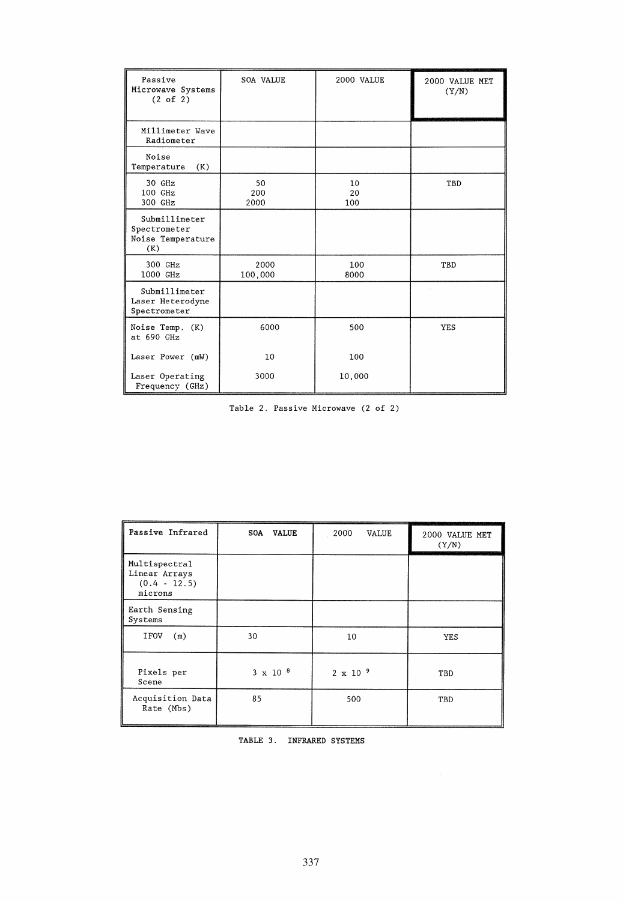| Passive<br>Microwave Systems<br>(2 of 2)                  | <b>SOA VALUE</b>  | 2000 VALUE      | 2000 VALUE MET<br>(Y/N) |
|-----------------------------------------------------------|-------------------|-----------------|-------------------------|
| Millimeter Wave<br>Radiometer                             |                   |                 |                         |
| Noise<br>(K)<br>Temperature                               |                   |                 |                         |
| 30 GHz<br>$100$ GHz<br>300 GHz                            | 50<br>200<br>2000 | 10<br>20<br>100 | TBD                     |
| Submillimeter<br>Spectrometer<br>Noise Temperature<br>(K) |                   |                 |                         |
| 300 GHz<br>1000 GHz                                       | 2000<br>100,000   | 100<br>8000     | TBD                     |
| Submillimeter<br>Laser Heterodyne<br>Spectrometer         |                   |                 |                         |
| Noise Temp. (K)<br>at 690 GHz                             | 6000              | 500             | <b>YES</b>              |
| Laser Power (mW)                                          | 10                | 100             |                         |
| Laser Operating<br>Frequency (GHz)                        | 3000              | 10,000          |                         |

Tab1e 2. Passive Microwave (2 of 2)

| Passive Infrared                                            | <b>SOA</b><br><b>VALUE</b> | 2000<br>VALUE      | 2000 VALUE MET<br>(Y/N) |
|-------------------------------------------------------------|----------------------------|--------------------|-------------------------|
| Multispectral<br>Linear Arrays<br>$(0.4 - 12.5)$<br>microns |                            |                    |                         |
| Earth Sensing<br>Systems                                    |                            |                    |                         |
| <b>IFOV</b><br>(m)                                          | 30                         | 10                 | <b>YES</b>              |
| Pixels per<br>Scene                                         | $3 \times 10^{-8}$         | $2 \times 10^{-9}$ | TBD                     |
| Acquisition Data<br>Rate (Mbs)                              | 85                         | 500                | TBD                     |

| TABLE 3. | INFRARED SYSTEMS |  |
|----------|------------------|--|
|----------|------------------|--|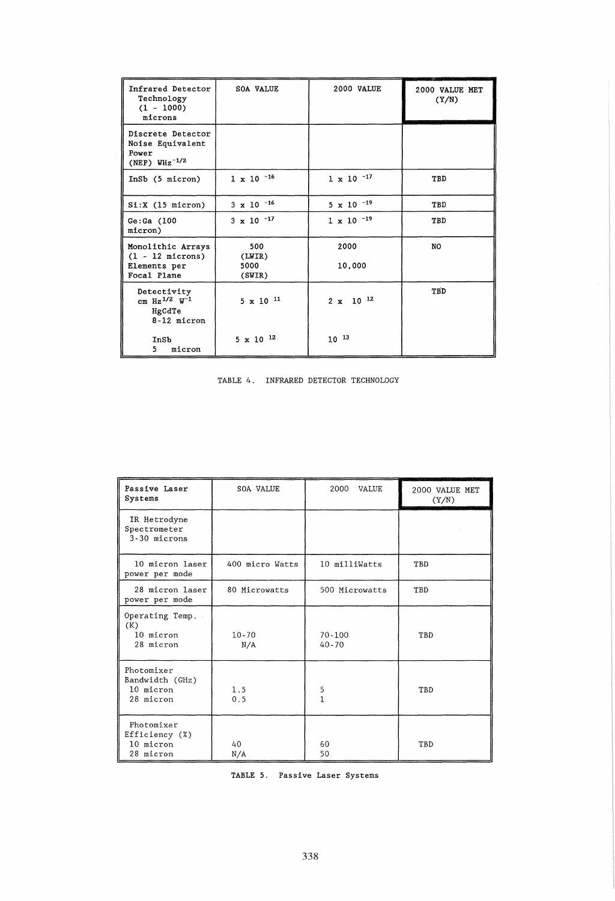| Infrared Detector<br>Technology<br>$(1 - 1000)$<br>microns              | <b>SOA VALUE</b>                | 2000 VALUE          | 2000 VALUE MET<br>(Y/N) |
|-------------------------------------------------------------------------|---------------------------------|---------------------|-------------------------|
| Discrete Detector<br>Noise Equivalent<br>Power<br>(NEP) $W_{HZ}^{-1/2}$ |                                 |                     |                         |
| InSb (5 micron)                                                         | $1 \times 10^{-16}$             | $1 \times 10^{-17}$ | TBD                     |
| Si: X (15 micron)                                                       | $3 \times 10^{-16}$             | $5 \times 10^{-19}$ | TBD                     |
| Ge:Ga(100)<br>micron)                                                   | $3 \times 10^{-17}$             | $1 \times 10^{-19}$ | TBD                     |
| Monolithic Arrays<br>$(1 - 12$ microns)<br>Elements per<br>Focal Plane  | 500<br>(LWIR)<br>5000<br>(SWIR) | 2000<br>10,000      | NO.                     |
| Detectivity<br>cm $Hz^{1/2}$ $W^{-1}$<br>HgCdTe<br>8-12 micron          | $5 \times 10^{-11}$             | $2 \times 10^{-12}$ | TBD                     |
| InSb<br>5.<br>micron                                                    | $5 \times 10^{-12}$             | $10^{-13}$          |                         |

| TABLE 4. |  | INFRARED DETECTOR TECHNOLOGY |
|----------|--|------------------------------|
|          |  |                              |

| Passive Laser<br>Systems                                | <b>SOA VALUE</b> | 2000<br><b>VALUE</b>    | 2000 VALUE MET<br>(Y/N) |
|---------------------------------------------------------|------------------|-------------------------|-------------------------|
| IR Hetrodyne<br>Spectrometer<br>3-30 microns            |                  |                         |                         |
| 10 micron laser<br>power per mode                       | 400 micro Watts  | 10 milliWatts           | TBD                     |
| 28 micron laser<br>power per mode                       | 80 Microwatts    | 500 Microwatts          | TBD                     |
| Operating Temp.<br>(K)<br>10 micron<br>28 micron        | $10 - 70$<br>N/A | $70 - 100$<br>$40 - 70$ | TBD                     |
| Photomixer<br>Bandwidth (GHz)<br>10 micron<br>28 micron | 1.5<br>0.5       | 5<br>1                  | TBD                     |
| Photomixer<br>Efficiency (%)<br>10 micron<br>28 micron  | 40<br>N/A        | 60<br>50                | TBD                     |

TABLE 5. Passive Laser Systems